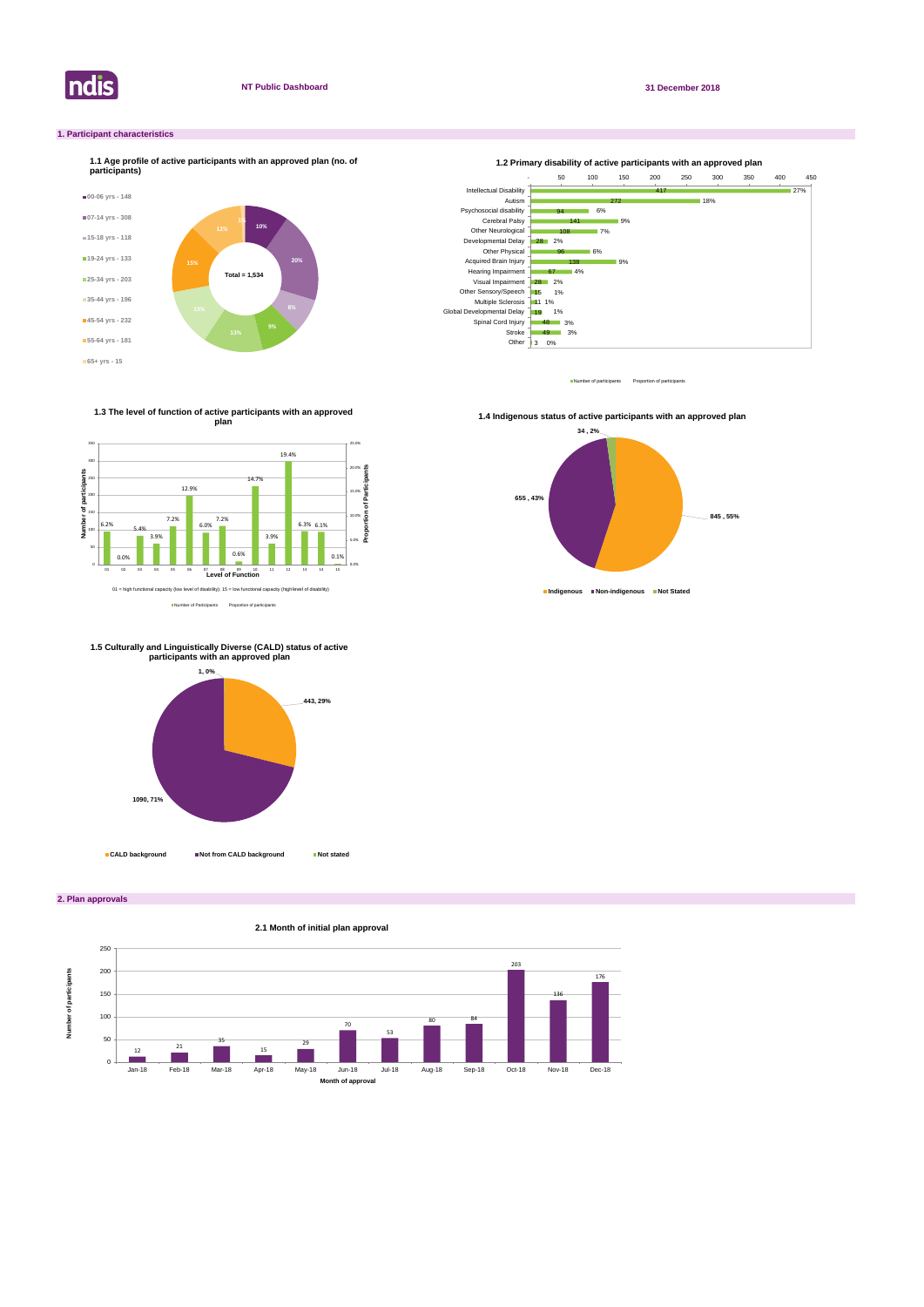

**2. Plan approvals**

## **1. Participant characteristics**



Number of participants Proportion of participant





Number of Participants Proportion of participants

**1.3 The level of function of active participants with an approved plan**



**1.4 Indigenous status of active participants with an approved plan** 





**1.5 Culturally and Linguistically Diverse (CALD) status of active participants with an approved plan**